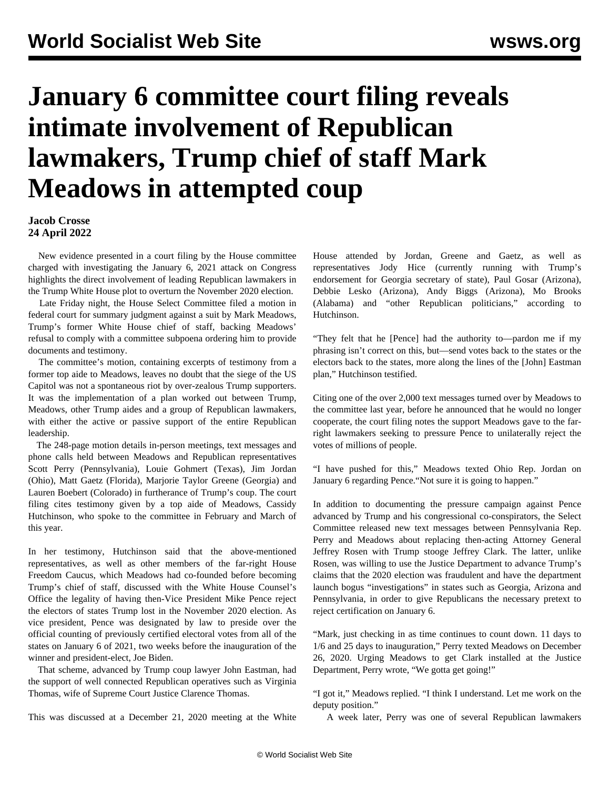## **January 6 committee court filing reveals intimate involvement of Republican lawmakers, Trump chief of staff Mark Meadows in attempted coup**

**Jacob Crosse 24 April 2022**

 New evidence presented in a court filing by the House committee charged with investigating the January 6, 2021 attack on Congress highlights the direct involvement of leading Republican lawmakers in the Trump White House plot to overturn the November 2020 election.

 Late Friday night, the House Select Committee filed a motion in federal court for summary judgment against a suit by Mark Meadows, Trump's former White House chief of staff, backing Meadows' refusal to comply with a committee subpoena ordering him to provide documents and testimony.

 The committee's motion, containing excerpts of testimony from a former top aide to Meadows, leaves no doubt that the siege of the US Capitol was not a spontaneous riot by over-zealous Trump supporters. It was the implementation of a plan worked out between Trump, Meadows, other Trump aides and a group of Republican lawmakers, with either the active or passive support of the entire Republican leadership.

 The [248-page motion](https://int.nyt.com/data/documenttools/mark-meadows-jan-6-committee-lawsuit-filing/1b406f224918ee30/full.pdf) details in-person meetings, text messages and phone calls held between Meadows and Republican representatives Scott Perry (Pennsylvania), Louie Gohmert (Texas), Jim Jordan (Ohio), Matt Gaetz (Florida), Marjorie Taylor Greene (Georgia) and Lauren Boebert (Colorado) in furtherance of Trump's coup. The court filing cites testimony given by a top aide of Meadows, Cassidy Hutchinson, who spoke to the committee in February and March of this year.

In her testimony, Hutchinson said that the above-mentioned representatives, as well as other members of the far-right House Freedom Caucus, which Meadows had co-founded before becoming Trump's chief of staff, discussed with the White House Counsel's Office the legality of having then-Vice President Mike Pence reject the electors of states Trump lost in the November 2020 election. As vice president, Pence was designated by law to preside over the official counting of previously certified electoral votes from all of the states on January 6 of 2021, two weeks before the inauguration of the winner and president-elect, Joe Biden.

 That scheme, advanced by Trump coup lawyer John Eastman, had the support of well connected Republican operatives such as [Virginia](/en/articles/2022/04/04/thom-a04.html) [Thomas,](/en/articles/2022/04/04/thom-a04.html) wife of Supreme Court Justice Clarence Thomas.

This was discussed at a December 21, 2020 meeting at the White

House attended by Jordan, Greene and Gaetz, as well as representatives Jody Hice (currently running with Trump's endorsement for Georgia secretary of state), Paul Gosar (Arizona), Debbie Lesko (Arizona), Andy Biggs (Arizona), Mo Brooks (Alabama) and "other Republican politicians," according to Hutchinson.

"They felt that he [Pence] had the authority to—pardon me if my phrasing isn't correct on this, but—send votes back to the states or the electors back to the states, more along the lines of the [John] Eastman plan," Hutchinson testified.

Citing one of the over 2,000 text messages turned over by Meadows to the committee last year, before he announced that he would no longer cooperate, the court filing notes the support Meadows gave to the farright lawmakers seeking to pressure Pence to unilaterally reject the votes of millions of people.

"I have pushed for this," Meadows texted Ohio Rep. Jordan on January 6 regarding Pence."Not sure it is going to happen."

In addition to documenting the pressure campaign against Pence advanced by Trump and his congressional co-conspirators, the Select Committee released new text messages between Pennsylvania Rep. Perry and Meadows about replacing then-acting Attorney General Jeffrey Rosen with Trump stooge Jeffrey Clark. The latter, unlike Rosen, was willing to use the Justice Department to advance Trump's claims that the 2020 election was fraudulent and have the department launch bogus "investigations" in states such as Georgia, Arizona and Pennsylvania, in order to give Republicans the necessary pretext to reject certification on January 6.

"Mark, just checking in as time continues to count down. 11 days to 1/6 and 25 days to inauguration," Perry texted Meadows on December 26, 2020. Urging Meadows to get Clark installed at the Justice Department, Perry wrote, "We gotta get going!"

"I got it," Meadows replied. "I think I understand. Let me work on the deputy position."

A week later, Perry was one of several Republican lawmakers